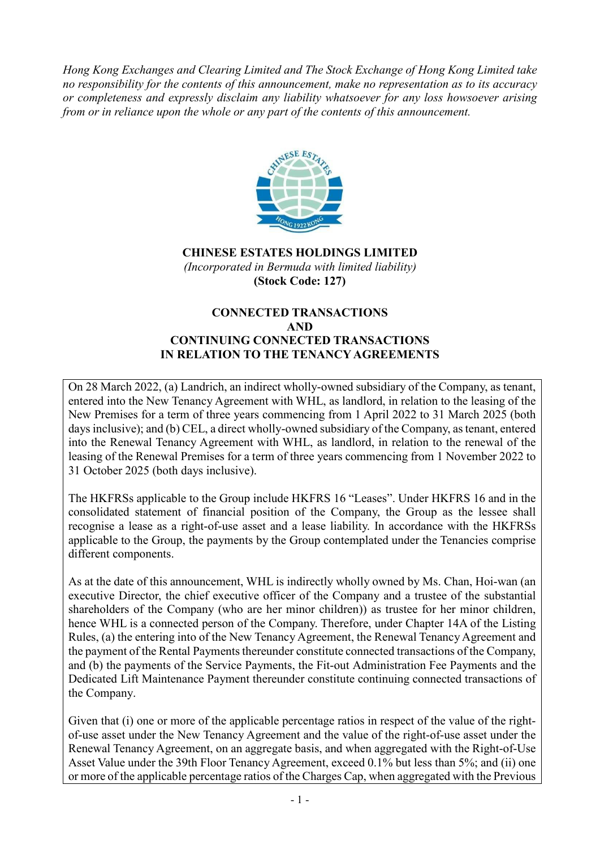*Hong Kong Exchanges and Clearing Limited and The Stock Exchange of Hong Kong Limited take no responsibility for the contents of this announcement, make no representation as to its accuracy or completeness and expressly disclaim any liability whatsoever for any loss howsoever arising from or in reliance upon the whole or any part of the contents of this announcement.*



**CHINESE ESTATES HOLDINGS LIMITED** *(Incorporated in Bermuda with limited liability)* **(Stock Code: 127)**

#### **CONNECTED TRANSACTIONS AND CONTINUING CONNECTED TRANSACTIONS IN RELATION TO THE TENANCY AGREEMENTS**

On 28 March 2022, (a) Landrich, an indirect wholly-owned subsidiary of the Company, as tenant, entered into the New Tenancy Agreement with WHL, as landlord, in relation to the leasing of the New Premises for a term of three years commencing from 1 April 2022 to 31 March 2025 (both days inclusive); and (b) CEL, a direct wholly-owned subsidiary of the Company, as tenant, entered into the Renewal Tenancy Agreement with WHL, as landlord, in relation to the renewal of the leasing of the Renewal Premises for a term of three years commencing from 1 November 2022 to 31 October 2025 (both days inclusive).

The HKFRSs applicable to the Group include HKFRS 16 "Leases". Under HKFRS 16 and in the consolidated statement of financial position of the Company, the Group as the lessee shall recognise a lease as a right-of-use asset and a lease liability. In accordance with the HKFRSs applicable to the Group, the payments by the Group contemplated under the Tenancies comprise different components.

As at the date of this announcement, WHL is indirectly wholly owned by Ms. Chan, Hoi-wan (an executive Director, the chief executive officer of the Company and a trustee of the substantial shareholders of the Company (who are her minor children)) as trustee for her minor children, hence WHL is a connected person of the Company. Therefore, under Chapter 14A of the Listing Rules, (a) the entering into of the New Tenancy Agreement, the Renewal Tenancy Agreement and the payment of the Rental Payments thereunder constitute connected transactions of the Company, and (b) the payments of the Service Payments, the Fit-out Administration Fee Payments and the Dedicated Lift Maintenance Payment thereunder constitute continuing connected transactions of the Company.

Given that (i) one or more of the applicable percentage ratios in respect of the value of the rightof-use asset under the New Tenancy Agreement and the value of the right-of-use asset under the Renewal Tenancy Agreement, on an aggregate basis, and when aggregated with the Right-of-Use Asset Value under the 39th Floor Tenancy Agreement, exceed 0.1% but less than 5%; and (ii) one or more of the applicable percentage ratios of the Charges Cap, when aggregated with the Previous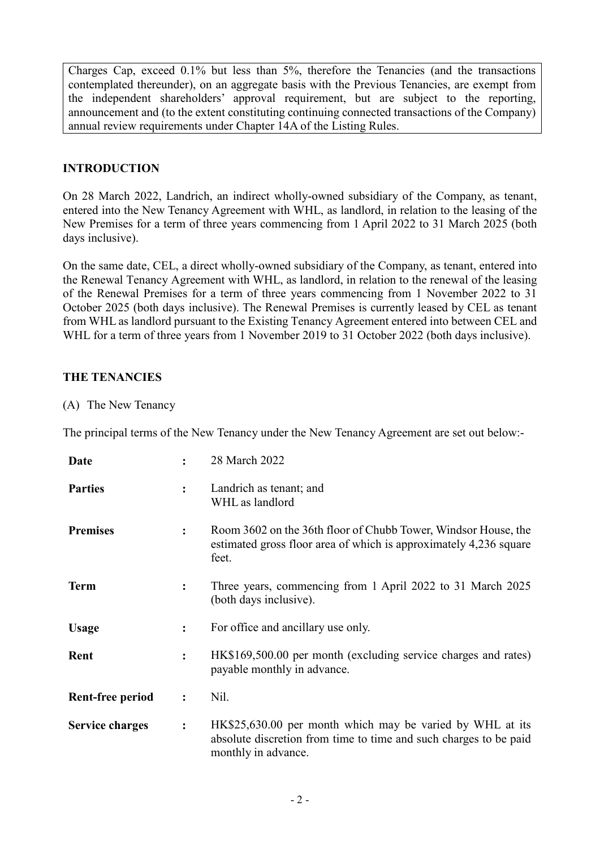Charges Cap, exceed 0.1% but less than 5%, therefore the Tenancies (and the transactions contemplated thereunder), on an aggregate basis with the Previous Tenancies, are exempt from the independent shareholders' approval requirement, but are subject to the reporting, announcement and (to the extent constituting continuing connected transactions of the Company) annual review requirements under Chapter 14A of the Listing Rules.

## **INTRODUCTION**

On 28 March 2022, Landrich, an indirect wholly-owned subsidiary of the Company, as tenant, entered into the New Tenancy Agreement with WHL, as landlord, in relation to the leasing of the New Premises for a term of three years commencing from 1 April 2022 to 31 March 2025 (both days inclusive).

On the same date, CEL, a direct wholly-owned subsidiary of the Company, as tenant, entered into the Renewal Tenancy Agreement with WHL, as landlord, in relation to the renewal of the leasing of the Renewal Premises for a term of three years commencing from 1 November 2022 to 31 October 2025 (both days inclusive). The Renewal Premises is currently leased by CEL as tenant from WHL as landlord pursuant to the Existing Tenancy Agreement entered into between CEL and WHL for a term of three years from 1 November 2019 to 31 October 2022 (both days inclusive).

### **THE TENANCIES**

(A) The New Tenancy

The principal terms of the New Tenancy under the New Tenancy Agreement are set out below:-

| Date                   |                      | 28 March 2022                                                                                                                                         |
|------------------------|----------------------|-------------------------------------------------------------------------------------------------------------------------------------------------------|
| <b>Parties</b>         | $\ddot{\cdot}$       | Landrich as tenant; and<br>WHL as landlord                                                                                                            |
| <b>Premises</b>        |                      | Room 3602 on the 36th floor of Chubb Tower, Windsor House, the<br>estimated gross floor area of which is approximately 4,236 square<br>feet.          |
| <b>Term</b>            | $\ddot{\phantom{a}}$ | Three years, commencing from 1 April 2022 to 31 March 2025<br>(both days inclusive).                                                                  |
| <b>Usage</b>           | $\ddot{\phantom{a}}$ | For office and ancillary use only.                                                                                                                    |
| Rent                   | $\ddot{\cdot}$       | HK\$169,500.00 per month (excluding service charges and rates)<br>payable monthly in advance.                                                         |
| Rent-free period       | $\ddot{\cdot}$       | Nil.                                                                                                                                                  |
| <b>Service charges</b> | $\ddot{\cdot}$       | HK\$25,630.00 per month which may be varied by WHL at its<br>absolute discretion from time to time and such charges to be paid<br>monthly in advance. |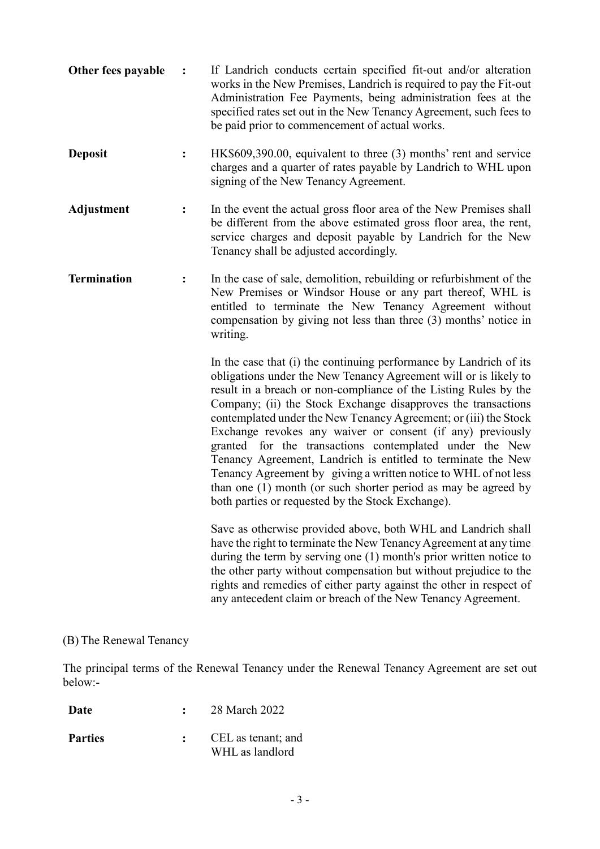| Other fees payable | $\ddot{\cdot}$ | If Landrich conducts certain specified fit-out and/or alteration<br>works in the New Premises, Landrich is required to pay the Fit-out<br>Administration Fee Payments, being administration fees at the<br>specified rates set out in the New Tenancy Agreement, such fees to<br>be paid prior to commencement of actual works.                                                                                                                                                                                                                                                                                                                                                                                                    |
|--------------------|----------------|------------------------------------------------------------------------------------------------------------------------------------------------------------------------------------------------------------------------------------------------------------------------------------------------------------------------------------------------------------------------------------------------------------------------------------------------------------------------------------------------------------------------------------------------------------------------------------------------------------------------------------------------------------------------------------------------------------------------------------|
| <b>Deposit</b>     | $\ddot{\cdot}$ | HK\$609,390.00, equivalent to three (3) months' rent and service<br>charges and a quarter of rates payable by Landrich to WHL upon<br>signing of the New Tenancy Agreement.                                                                                                                                                                                                                                                                                                                                                                                                                                                                                                                                                        |
| <b>Adjustment</b>  | ፡              | In the event the actual gross floor area of the New Premises shall<br>be different from the above estimated gross floor area, the rent,<br>service charges and deposit payable by Landrich for the New<br>Tenancy shall be adjusted accordingly.                                                                                                                                                                                                                                                                                                                                                                                                                                                                                   |
| <b>Termination</b> | $\ddot{\cdot}$ | In the case of sale, demolition, rebuilding or refurbishment of the<br>New Premises or Windsor House or any part thereof, WHL is<br>entitled to terminate the New Tenancy Agreement without<br>compensation by giving not less than three (3) months' notice in<br>writing.                                                                                                                                                                                                                                                                                                                                                                                                                                                        |
|                    |                | In the case that (i) the continuing performance by Landrich of its<br>obligations under the New Tenancy Agreement will or is likely to<br>result in a breach or non-compliance of the Listing Rules by the<br>Company; (ii) the Stock Exchange disapproves the transactions<br>contemplated under the New Tenancy Agreement; or (iii) the Stock<br>Exchange revokes any waiver or consent (if any) previously<br>granted for the transactions contemplated under the New<br>Tenancy Agreement, Landrich is entitled to terminate the New<br>Tenancy Agreement by giving a written notice to WHL of not less<br>than one (1) month (or such shorter period as may be agreed by<br>both parties or requested by the Stock Exchange). |
|                    |                | Save as otherwise provided above, both WHL and Landrich shall<br>have the right to terminate the New Tenancy Agreement at any time<br>during the term by serving one (1) month's prior written notice to<br>the other party without compensation but without prejudice to the<br>rights and remedies of either party against the other in respect of<br>any antecedent claim or breach of the New Tenancy Agreement.                                                                                                                                                                                                                                                                                                               |

# (B) The Renewal Tenancy

The principal terms of the Renewal Tenancy under the Renewal Tenancy Agreement are set out below:-

| Date           | 28 March 2022                         |
|----------------|---------------------------------------|
| <b>Parties</b> | CEL as tenant; and<br>WHL as landlord |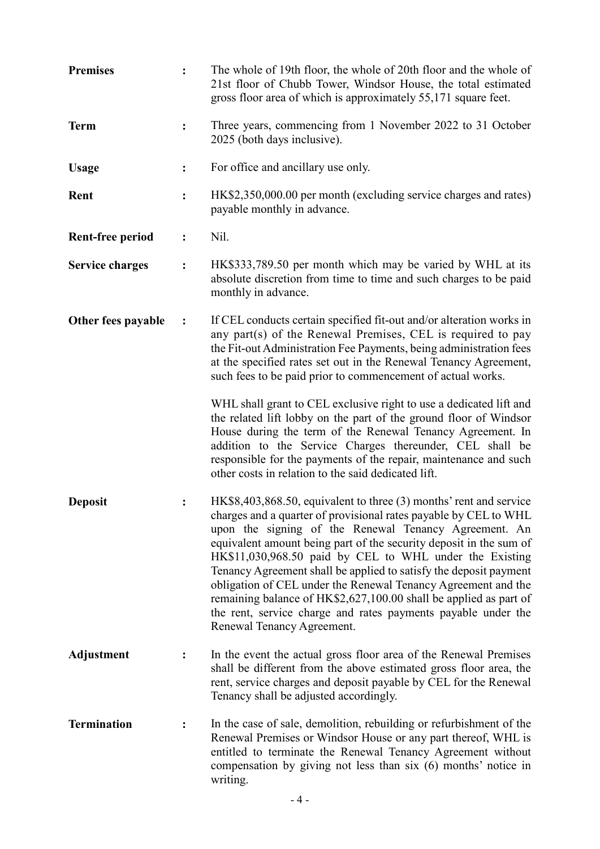| <b>Premises</b>         |                | The whole of 19th floor, the whole of 20th floor and the whole of<br>21st floor of Chubb Tower, Windsor House, the total estimated<br>gross floor area of which is approximately 55,171 square feet.                                                                                                                                                                                                                                                                                                                                                                                                                                       |
|-------------------------|----------------|--------------------------------------------------------------------------------------------------------------------------------------------------------------------------------------------------------------------------------------------------------------------------------------------------------------------------------------------------------------------------------------------------------------------------------------------------------------------------------------------------------------------------------------------------------------------------------------------------------------------------------------------|
| <b>Term</b>             | $\ddot{\cdot}$ | Three years, commencing from 1 November 2022 to 31 October<br>2025 (both days inclusive).                                                                                                                                                                                                                                                                                                                                                                                                                                                                                                                                                  |
| <b>Usage</b>            |                | For office and ancillary use only.                                                                                                                                                                                                                                                                                                                                                                                                                                                                                                                                                                                                         |
| Rent                    | $\ddot{\cdot}$ | HK\$2,350,000.00 per month (excluding service charges and rates)<br>payable monthly in advance.                                                                                                                                                                                                                                                                                                                                                                                                                                                                                                                                            |
| <b>Rent-free period</b> | $\ddot{\cdot}$ | Nil.                                                                                                                                                                                                                                                                                                                                                                                                                                                                                                                                                                                                                                       |
| <b>Service charges</b>  | $\ddot{\cdot}$ | HK\$333,789.50 per month which may be varied by WHL at its<br>absolute discretion from time to time and such charges to be paid<br>monthly in advance.                                                                                                                                                                                                                                                                                                                                                                                                                                                                                     |
| Other fees payable      | $\ddot{\cdot}$ | If CEL conducts certain specified fit-out and/or alteration works in<br>any part(s) of the Renewal Premises, CEL is required to pay<br>the Fit-out Administration Fee Payments, being administration fees<br>at the specified rates set out in the Renewal Tenancy Agreement,<br>such fees to be paid prior to commencement of actual works.                                                                                                                                                                                                                                                                                               |
|                         |                | WHL shall grant to CEL exclusive right to use a dedicated lift and<br>the related lift lobby on the part of the ground floor of Windsor<br>House during the term of the Renewal Tenancy Agreement. In<br>addition to the Service Charges thereunder, CEL shall be<br>responsible for the payments of the repair, maintenance and such<br>other costs in relation to the said dedicated lift.                                                                                                                                                                                                                                               |
| <b>Deposit</b>          |                | HK\$8,403,868.50, equivalent to three (3) months' rent and service<br>charges and a quarter of provisional rates payable by CEL to WHL<br>upon the signing of the Renewal Tenancy Agreement. An<br>equivalent amount being part of the security deposit in the sum of<br>HK\$11,030,968.50 paid by CEL to WHL under the Existing<br>Tenancy Agreement shall be applied to satisfy the deposit payment<br>obligation of CEL under the Renewal Tenancy Agreement and the<br>remaining balance of HK\$2,627,100.00 shall be applied as part of<br>the rent, service charge and rates payments payable under the<br>Renewal Tenancy Agreement. |
| <b>Adjustment</b>       | $\ddot{\cdot}$ | In the event the actual gross floor area of the Renewal Premises<br>shall be different from the above estimated gross floor area, the<br>rent, service charges and deposit payable by CEL for the Renewal<br>Tenancy shall be adjusted accordingly.                                                                                                                                                                                                                                                                                                                                                                                        |
| <b>Termination</b>      |                | In the case of sale, demolition, rebuilding or refurbishment of the<br>Renewal Premises or Windsor House or any part thereof, WHL is<br>entitled to terminate the Renewal Tenancy Agreement without<br>compensation by giving not less than six (6) months' notice in<br>writing.                                                                                                                                                                                                                                                                                                                                                          |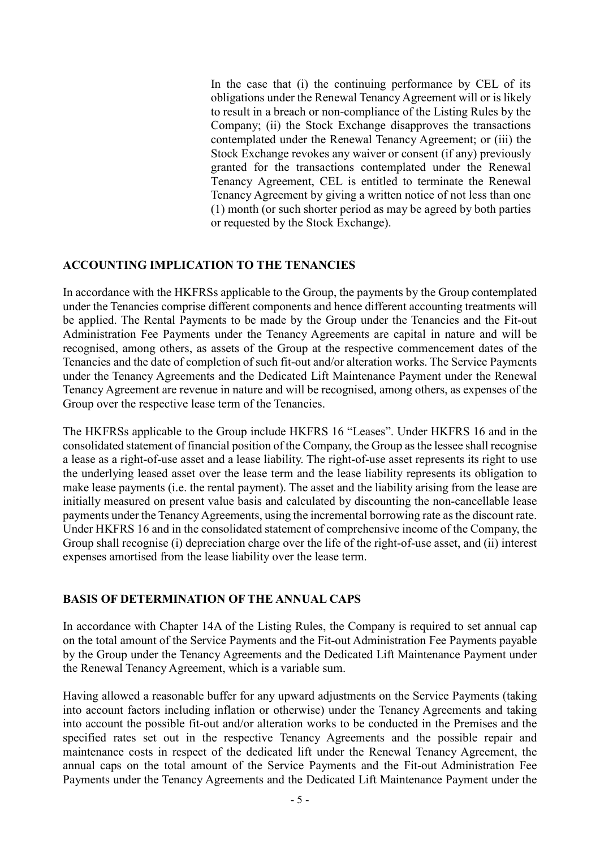In the case that (i) the continuing performance by CEL of its obligations under the Renewal Tenancy Agreement will or is likely to result in a breach or non-compliance of the Listing Rules by the Company; (ii) the Stock Exchange disapproves the transactions contemplated under the Renewal Tenancy Agreement; or (iii) the Stock Exchange revokes any waiver or consent (if any) previously granted for the transactions contemplated under the Renewal Tenancy Agreement, CEL is entitled to terminate the Renewal Tenancy Agreement by giving a written notice of not less than one (1) month (or such shorter period as may be agreed by both parties or requested by the Stock Exchange).

#### **ACCOUNTING IMPLICATION TO THE TENANCIES**

In accordance with the HKFRSs applicable to the Group, the payments by the Group contemplated under the Tenancies comprise different components and hence different accounting treatments will be applied. The Rental Payments to be made by the Group under the Tenancies and the Fit-out Administration Fee Payments under the Tenancy Agreements are capital in nature and will be recognised, among others, as assets of the Group at the respective commencement dates of the Tenancies and the date of completion of such fit-out and/or alteration works. The Service Payments under the Tenancy Agreements and the Dedicated Lift Maintenance Payment under the Renewal Tenancy Agreement are revenue in nature and will be recognised, among others, as expenses of the Group over the respective lease term of the Tenancies.

The HKFRSs applicable to the Group include HKFRS 16 "Leases". Under HKFRS 16 and in the consolidated statement of financial position of the Company, the Group as the lessee shall recognise a lease as a right-of-use asset and a lease liability. The right-of-use asset represents its right to use the underlying leased asset over the lease term and the lease liability represents its obligation to make lease payments (i.e. the rental payment). The asset and the liability arising from the lease are initially measured on present value basis and calculated by discounting the non-cancellable lease payments under the Tenancy Agreements, using the incremental borrowing rate as the discount rate. Under HKFRS 16 and in the consolidated statement of comprehensive income of the Company, the Group shall recognise (i) depreciation charge over the life of the right-of-use asset, and (ii) interest expenses amortised from the lease liability over the lease term.

#### **BASIS OF DETERMINATION OF THE ANNUAL CAPS**

In accordance with Chapter 14A of the Listing Rules, the Company is required to set annual cap on the total amount of the Service Payments and the Fit-out Administration Fee Payments payable by the Group under the Tenancy Agreements and the Dedicated Lift Maintenance Payment under the Renewal Tenancy Agreement, which is a variable sum.

Having allowed a reasonable buffer for any upward adjustments on the Service Payments (taking into account factors including inflation or otherwise) under the Tenancy Agreements and taking into account the possible fit-out and/or alteration works to be conducted in the Premises and the specified rates set out in the respective Tenancy Agreements and the possible repair and maintenance costs in respect of the dedicated lift under the Renewal Tenancy Agreement, the annual caps on the total amount of the Service Payments and the Fit-out Administration Fee Payments under the Tenancy Agreements and the Dedicated Lift Maintenance Payment under the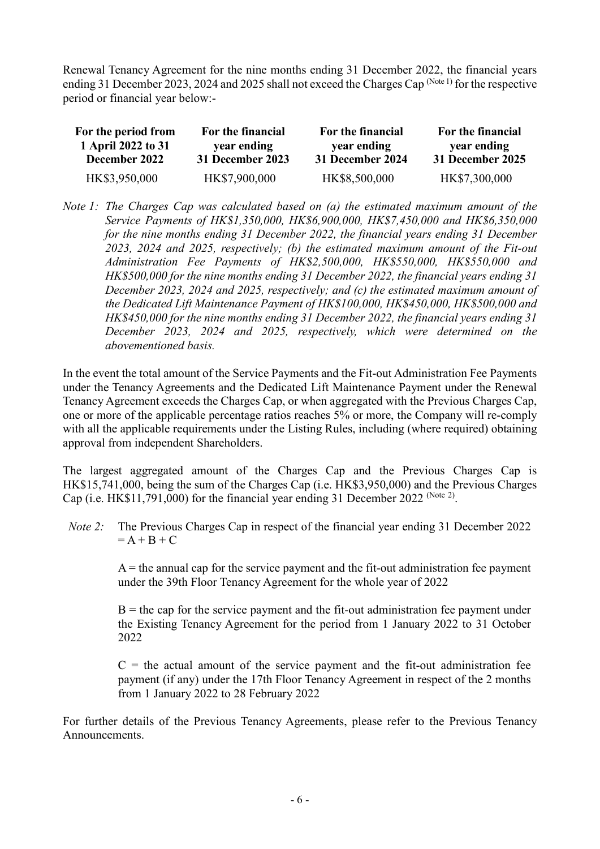Renewal Tenancy Agreement for the nine months ending 31 December 2022, the financial years ending 31 December 2023, 2024 and 2025 shall not exceed the Charges Cap (Note 1) for the respective period or financial year below:-

| For the period from<br>1 April 2022 to 31 | For the financial<br>year ending | For the financial<br>year ending | For the financial<br>year ending |
|-------------------------------------------|----------------------------------|----------------------------------|----------------------------------|
| December 2022                             | 31 December 2023                 | 31 December 2024                 | 31 December 2025                 |
| HK\$3,950,000                             | HK\$7,900,000                    | HK\$8,500,000                    | HK\$7,300,000                    |

*Note 1: The Charges Cap was calculated based on (a) the estimated maximum amount of the Service Payments of HK\$1,350,000, HK\$6,900,000, HK\$7,450,000 and HK\$6,350,000 for the nine months ending 31 December 2022, the financial years ending 31 December 2023, 2024 and 2025, respectively; (b) the estimated maximum amount of the Fit-out Administration Fee Payments of HK\$2,500,000, HK\$550,000, HK\$550,000 and HK\$500,000 for the nine months ending 31 December 2022, the financial years ending 31 December 2023, 2024 and 2025, respectively; and (c) the estimated maximum amount of the Dedicated Lift Maintenance Payment of HK\$100,000, HK\$450,000, HK\$500,000 and HK\$450,000 for the nine months ending 31 December 2022, the financial years ending 31 December 2023, 2024 and 2025, respectively, which were determined on the abovementioned basis.*

In the event the total amount of the Service Payments and the Fit-out Administration Fee Payments under the Tenancy Agreements and the Dedicated Lift Maintenance Payment under the Renewal Tenancy Agreement exceeds the Charges Cap, or when aggregated with the Previous Charges Cap, one or more of the applicable percentage ratios reaches 5% or more, the Company will re-comply with all the applicable requirements under the Listing Rules, including (where required) obtaining approval from independent Shareholders.

The largest aggregated amount of the Charges Cap and the Previous Charges Cap is HK\$15,741,000, being the sum of the Charges Cap (i.e. HK\$3,950,000) and the Previous Charges Cap (i.e. HK\$11,791,000) for the financial year ending 31 December 2022 (Note 2).

*Note 2:* The Previous Charges Cap in respect of the financial year ending 31 December 2022  $= A + B + C$ 

> $A =$  the annual cap for the service payment and the fit-out administration fee payment under the 39th Floor Tenancy Agreement for the whole year of 2022

> $B =$  the cap for the service payment and the fit-out administration fee payment under the Existing Tenancy Agreement for the period from 1 January 2022 to 31 October 2022

> $C =$  the actual amount of the service payment and the fit-out administration fee payment (if any) under the 17th Floor Tenancy Agreement in respect of the 2 months from 1 January 2022 to 28 February 2022

For further details of the Previous Tenancy Agreements, please refer to the Previous Tenancy Announcements.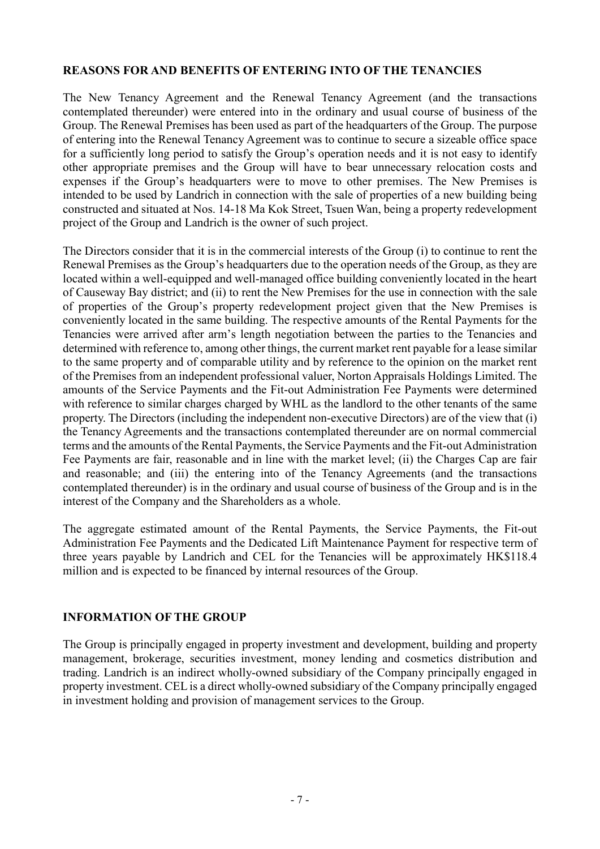#### **REASONS FOR AND BENEFITS OF ENTERING INTO OF THE TENANCIES**

The New Tenancy Agreement and the Renewal Tenancy Agreement (and the transactions contemplated thereunder) were entered into in the ordinary and usual course of business of the Group. The Renewal Premises has been used as part of the headquarters of the Group. The purpose of entering into the Renewal Tenancy Agreement was to continue to secure a sizeable office space for a sufficiently long period to satisfy the Group's operation needs and it is not easy to identify other appropriate premises and the Group will have to bear unnecessary relocation costs and expenses if the Group's headquarters were to move to other premises. The New Premises is intended to be used by Landrich in connection with the sale of properties of a new building being constructed and situated at Nos. 14-18 Ma Kok Street, Tsuen Wan, being a property redevelopment project of the Group and Landrich is the owner of such project.

The Directors consider that it is in the commercial interests of the Group (i) to continue to rent the Renewal Premises as the Group's headquarters due to the operation needs of the Group, as they are located within a well-equipped and well-managed office building conveniently located in the heart of Causeway Bay district; and (ii) to rent the New Premises for the use in connection with the sale of properties of the Group's property redevelopment project given that the New Premises is conveniently located in the same building. The respective amounts of the Rental Payments for the Tenancies were arrived after arm's length negotiation between the parties to the Tenancies and determined with reference to, among other things, the current market rent payable for a lease similar to the same property and of comparable utility and by reference to the opinion on the market rent of the Premises from an independent professional valuer, Norton Appraisals Holdings Limited. The amounts of the Service Payments and the Fit-out Administration Fee Payments were determined with reference to similar charges charged by WHL as the landlord to the other tenants of the same property. The Directors (including the independent non-executive Directors) are of the view that (i) the Tenancy Agreements and the transactions contemplated thereunder are on normal commercial terms and the amounts of the Rental Payments, the Service Payments and the Fit-out Administration Fee Payments are fair, reasonable and in line with the market level; (ii) the Charges Cap are fair and reasonable; and (iii) the entering into of the Tenancy Agreements (and the transactions contemplated thereunder) is in the ordinary and usual course of business of the Group and is in the interest of the Company and the Shareholders as a whole.

The aggregate estimated amount of the Rental Payments, the Service Payments, the Fit-out Administration Fee Payments and the Dedicated Lift Maintenance Payment for respective term of three years payable by Landrich and CEL for the Tenancies will be approximately HK\$118.4 million and is expected to be financed by internal resources of the Group.

#### **INFORMATION OF THE GROUP**

The Group is principally engaged in property investment and development, building and property management, brokerage, securities investment, money lending and cosmetics distribution and trading. Landrich is an indirect wholly-owned subsidiary of the Company principally engaged in property investment. CEL is a direct wholly-owned subsidiary of the Company principally engaged in investment holding and provision of management services to the Group.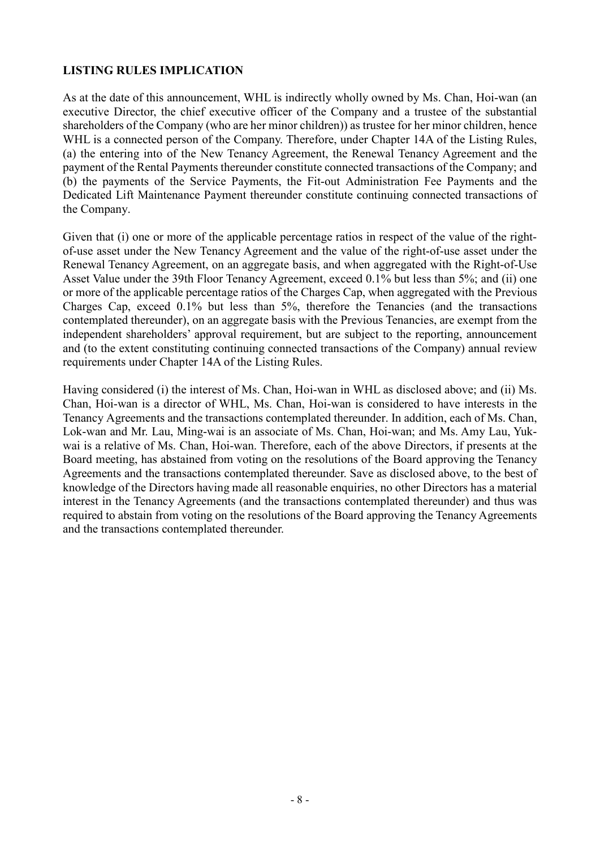#### **LISTING RULES IMPLICATION**

As at the date of this announcement, WHL is indirectly wholly owned by Ms. Chan, Hoi-wan (an executive Director, the chief executive officer of the Company and a trustee of the substantial shareholders of the Company (who are her minor children)) as trustee for her minor children, hence WHL is a connected person of the Company. Therefore, under Chapter 14A of the Listing Rules, (a) the entering into of the New Tenancy Agreement, the Renewal Tenancy Agreement and the payment of the Rental Payments thereunder constitute connected transactions of the Company; and (b) the payments of the Service Payments, the Fit-out Administration Fee Payments and the Dedicated Lift Maintenance Payment thereunder constitute continuing connected transactions of the Company.

Given that (i) one or more of the applicable percentage ratios in respect of the value of the rightof-use asset under the New Tenancy Agreement and the value of the right-of-use asset under the Renewal Tenancy Agreement, on an aggregate basis, and when aggregated with the Right-of-Use Asset Value under the 39th Floor Tenancy Agreement, exceed 0.1% but less than 5%; and (ii) one or more of the applicable percentage ratios of the Charges Cap, when aggregated with the Previous Charges Cap, exceed 0.1% but less than 5%, therefore the Tenancies (and the transactions contemplated thereunder), on an aggregate basis with the Previous Tenancies, are exempt from the independent shareholders' approval requirement, but are subject to the reporting, announcement and (to the extent constituting continuing connected transactions of the Company) annual review requirements under Chapter 14A of the Listing Rules.

Having considered (i) the interest of Ms. Chan, Hoi-wan in WHL as disclosed above; and (ii) Ms. Chan, Hoi-wan is a director of WHL, Ms. Chan, Hoi-wan is considered to have interests in the Tenancy Agreements and the transactions contemplated thereunder. In addition, each of Ms. Chan, Lok-wan and Mr. Lau, Ming-wai is an associate of Ms. Chan, Hoi-wan; and Ms. Amy Lau, Yukwai is a relative of Ms. Chan, Hoi-wan. Therefore, each of the above Directors, if presents at the Board meeting, has abstained from voting on the resolutions of the Board approving the Tenancy Agreements and the transactions contemplated thereunder. Save as disclosed above, to the best of knowledge of the Directors having made all reasonable enquiries, no other Directors has a material interest in the Tenancy Agreements (and the transactions contemplated thereunder) and thus was required to abstain from voting on the resolutions of the Board approving the Tenancy Agreements and the transactions contemplated thereunder.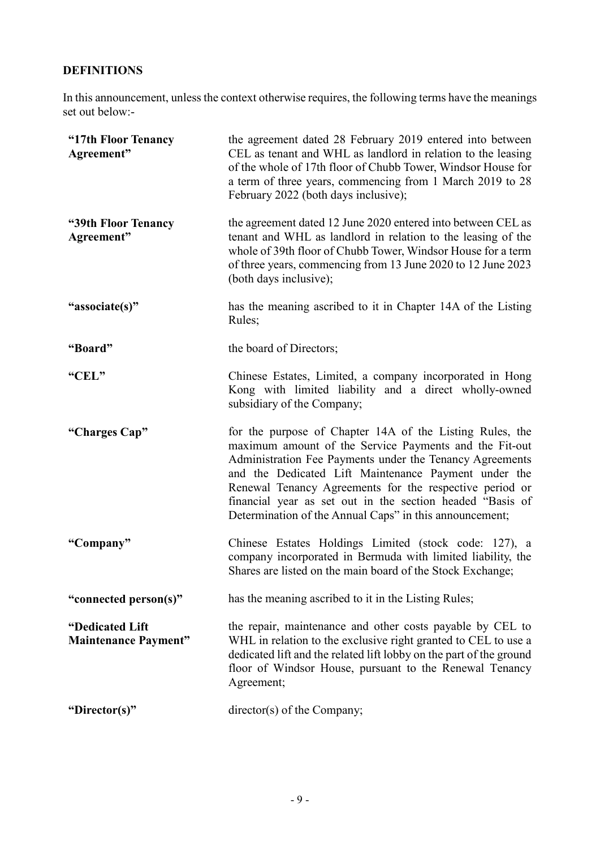## **DEFINITIONS**

In this announcement, unless the context otherwise requires, the following terms have the meanings set out below:-

| "17th Floor Tenancy<br>Agreement"              | the agreement dated 28 February 2019 entered into between<br>CEL as tenant and WHL as landlord in relation to the leasing<br>of the whole of 17th floor of Chubb Tower, Windsor House for<br>a term of three years, commencing from 1 March 2019 to 28<br>February 2022 (both days inclusive);                                                                                                                            |
|------------------------------------------------|---------------------------------------------------------------------------------------------------------------------------------------------------------------------------------------------------------------------------------------------------------------------------------------------------------------------------------------------------------------------------------------------------------------------------|
| "39th Floor Tenancy<br>Agreement"              | the agreement dated 12 June 2020 entered into between CEL as<br>tenant and WHL as landlord in relation to the leasing of the<br>whole of 39th floor of Chubb Tower, Windsor House for a term<br>of three years, commencing from 13 June 2020 to 12 June 2023<br>(both days inclusive);                                                                                                                                    |
| "associate(s)"                                 | has the meaning ascribed to it in Chapter 14A of the Listing<br>Rules;                                                                                                                                                                                                                                                                                                                                                    |
| "Board"                                        | the board of Directors;                                                                                                                                                                                                                                                                                                                                                                                                   |
| "CEL"                                          | Chinese Estates, Limited, a company incorporated in Hong<br>Kong with limited liability and a direct wholly-owned<br>subsidiary of the Company;                                                                                                                                                                                                                                                                           |
| "Charges Cap"                                  | for the purpose of Chapter 14A of the Listing Rules, the<br>maximum amount of the Service Payments and the Fit-out<br>Administration Fee Payments under the Tenancy Agreements<br>and the Dedicated Lift Maintenance Payment under the<br>Renewal Tenancy Agreements for the respective period or<br>financial year as set out in the section headed "Basis of<br>Determination of the Annual Caps" in this announcement; |
| "Company"                                      | Chinese Estates Holdings Limited (stock code: 127), a<br>company incorporated in Bermuda with limited liability, the<br>Shares are listed on the main board of the Stock Exchange;                                                                                                                                                                                                                                        |
| "connected person(s)"                          | has the meaning ascribed to it in the Listing Rules;                                                                                                                                                                                                                                                                                                                                                                      |
| "Dedicated Lift<br><b>Maintenance Payment"</b> | the repair, maintenance and other costs payable by CEL to<br>WHL in relation to the exclusive right granted to CEL to use a<br>dedicated lift and the related lift lobby on the part of the ground<br>floor of Windsor House, pursuant to the Renewal Tenancy<br>Agreement;                                                                                                                                               |
| "Director(s)"                                  | director(s) of the Company;                                                                                                                                                                                                                                                                                                                                                                                               |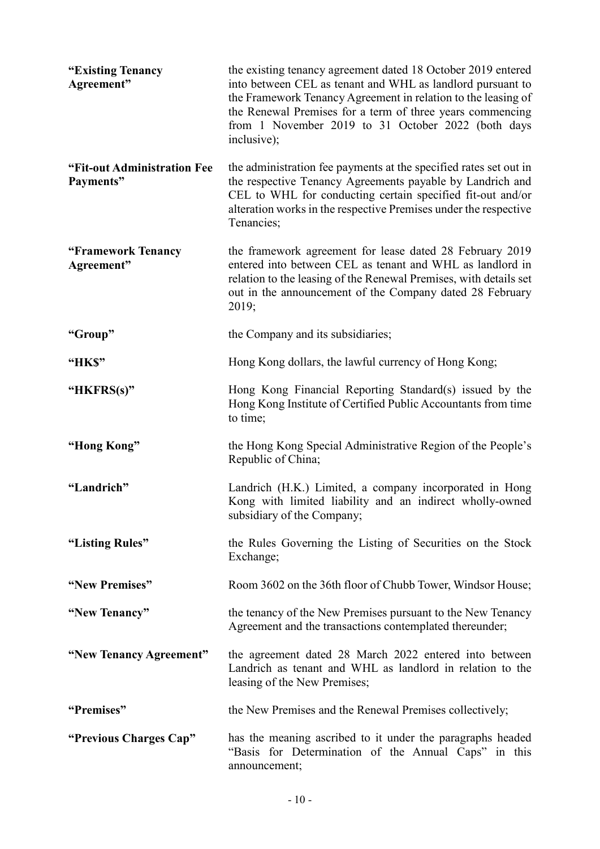| "Existing Tenancy<br>Agreement"          | the existing tenancy agreement dated 18 October 2019 entered<br>into between CEL as tenant and WHL as landlord pursuant to<br>the Framework Tenancy Agreement in relation to the leasing of<br>the Renewal Premises for a term of three years commencing<br>from 1 November 2019 to 31 October 2022 (both days<br>inclusive); |
|------------------------------------------|-------------------------------------------------------------------------------------------------------------------------------------------------------------------------------------------------------------------------------------------------------------------------------------------------------------------------------|
| "Fit-out Administration Fee<br>Payments" | the administration fee payments at the specified rates set out in<br>the respective Tenancy Agreements payable by Landrich and<br>CEL to WHL for conducting certain specified fit-out and/or<br>alteration works in the respective Premises under the respective<br>Tenancies;                                                |
| "Framework Tenancy<br>Agreement"         | the framework agreement for lease dated 28 February 2019<br>entered into between CEL as tenant and WHL as landlord in<br>relation to the leasing of the Renewal Premises, with details set<br>out in the announcement of the Company dated 28 February<br>2019;                                                               |
| "Group"                                  | the Company and its subsidiaries;                                                                                                                                                                                                                                                                                             |
| "HK\$"                                   | Hong Kong dollars, the lawful currency of Hong Kong;                                                                                                                                                                                                                                                                          |
| "HKFRS(s)"                               | Hong Kong Financial Reporting Standard(s) issued by the<br>Hong Kong Institute of Certified Public Accountants from time<br>to time;                                                                                                                                                                                          |
| "Hong Kong"                              | the Hong Kong Special Administrative Region of the People's<br>Republic of China;                                                                                                                                                                                                                                             |
| "Landrich"                               | Landrich (H.K.) Limited, a company incorporated in Hong<br>Kong with limited liability and an indirect wholly-owned<br>subsidiary of the Company;                                                                                                                                                                             |
| "Listing Rules"                          | the Rules Governing the Listing of Securities on the Stock<br>Exchange;                                                                                                                                                                                                                                                       |
| "New Premises"                           | Room 3602 on the 36th floor of Chubb Tower, Windsor House;                                                                                                                                                                                                                                                                    |
| "New Tenancy"                            | the tenancy of the New Premises pursuant to the New Tenancy<br>Agreement and the transactions contemplated thereunder;                                                                                                                                                                                                        |
| "New Tenancy Agreement"                  | the agreement dated 28 March 2022 entered into between<br>Landrich as tenant and WHL as landlord in relation to the<br>leasing of the New Premises;                                                                                                                                                                           |
| "Premises"                               | the New Premises and the Renewal Premises collectively;                                                                                                                                                                                                                                                                       |
| "Previous Charges Cap"                   | has the meaning ascribed to it under the paragraphs headed<br>"Basis for Determination of the Annual Caps" in this<br>announcement;                                                                                                                                                                                           |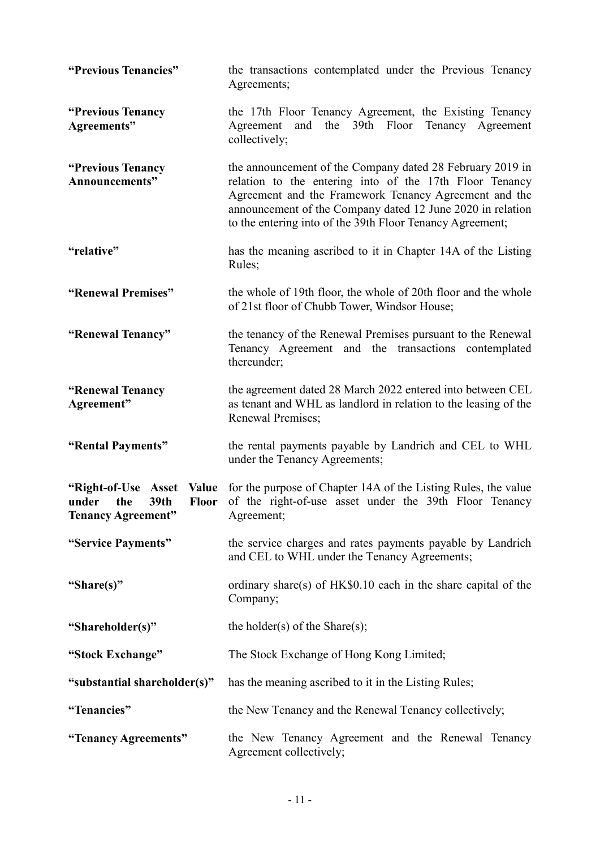| "Previous Tenancies"                                                                                     | the transactions contemplated under the Previous Tenancy<br>Agreements;                                                                                                                                                                                                                                  |
|----------------------------------------------------------------------------------------------------------|----------------------------------------------------------------------------------------------------------------------------------------------------------------------------------------------------------------------------------------------------------------------------------------------------------|
| "Previous Tenancy<br>Agreements"                                                                         | the 17th Floor Tenancy Agreement, the Existing Tenancy<br>and the 39th Floor Tenancy Agreement<br>Agreement<br>collectively;                                                                                                                                                                             |
| "Previous Tenancy<br>Announcements"                                                                      | the announcement of the Company dated 28 February 2019 in<br>relation to the entering into of the 17th Floor Tenancy<br>Agreement and the Framework Tenancy Agreement and the<br>announcement of the Company dated 12 June 2020 in relation<br>to the entering into of the 39th Floor Tenancy Agreement; |
| "relative"                                                                                               | has the meaning ascribed to it in Chapter 14A of the Listing<br>Rules;                                                                                                                                                                                                                                   |
| "Renewal Premises"                                                                                       | the whole of 19th floor, the whole of 20th floor and the whole<br>of 21st floor of Chubb Tower, Windsor House;                                                                                                                                                                                           |
| "Renewal Tenancy"                                                                                        | the tenancy of the Renewal Premises pursuant to the Renewal<br>Tenancy Agreement and the transactions contemplated<br>thereunder;                                                                                                                                                                        |
| "Renewal Tenancy<br>Agreement"                                                                           | the agreement dated 28 March 2022 entered into between CEL<br>as tenant and WHL as landlord in relation to the leasing of the<br>Renewal Premises;                                                                                                                                                       |
| "Rental Payments"                                                                                        | the rental payments payable by Landrich and CEL to WHL<br>under the Tenancy Agreements;                                                                                                                                                                                                                  |
| "Right-of-Use Asset<br><b>Value</b><br>39th<br>under<br>the<br><b>Floor</b><br><b>Tenancy Agreement"</b> | for the purpose of Chapter 14A of the Listing Rules, the value<br>of the right-of-use asset under the 39th Floor Tenancy<br>Agreement;                                                                                                                                                                   |
| "Service Payments"                                                                                       | the service charges and rates payments payable by Landrich<br>and CEL to WHL under the Tenancy Agreements;                                                                                                                                                                                               |
| "Share(s)"                                                                                               | ordinary share(s) of HK\$0.10 each in the share capital of the<br>Company;                                                                                                                                                                                                                               |
| "Shareholder(s)"                                                                                         | the holder(s) of the Share(s);                                                                                                                                                                                                                                                                           |
| "Stock Exchange"                                                                                         | The Stock Exchange of Hong Kong Limited;                                                                                                                                                                                                                                                                 |
| "substantial shareholder(s)"                                                                             | has the meaning ascribed to it in the Listing Rules;                                                                                                                                                                                                                                                     |
| "Tenancies"                                                                                              | the New Tenancy and the Renewal Tenancy collectively;                                                                                                                                                                                                                                                    |
| "Tenancy Agreements"                                                                                     | the New Tenancy Agreement and the Renewal Tenancy<br>Agreement collectively;                                                                                                                                                                                                                             |